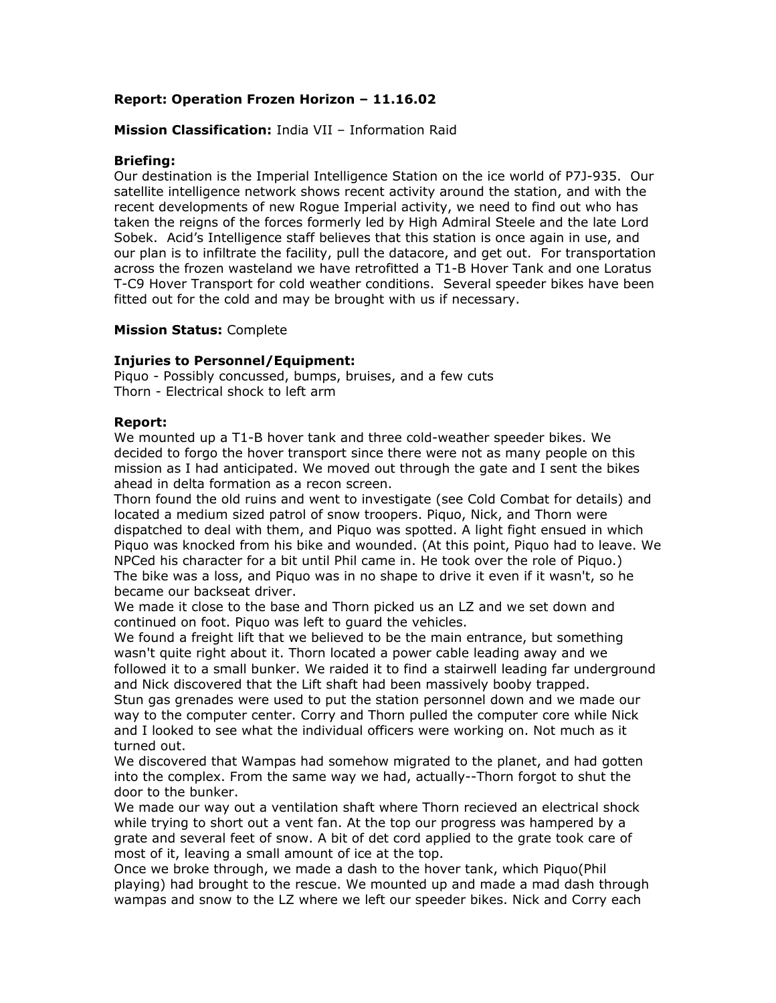# **Report: Operation Frozen Horizon – 11.16.02**

## **Mission Classification:** India VII – Information Raid

### **Briefing:**

Our destination is the Imperial Intelligence Station on the ice world of P7J-935. Our satellite intelligence network shows recent activity around the station, and with the recent developments of new Rogue Imperial activity, we need to find out who has taken the reigns of the forces formerly led by High Admiral Steele and the late Lord Sobek. Acid's Intelligence staff believes that this station is once again in use, and our plan is to infiltrate the facility, pull the datacore, and get out. For transportation across the frozen wasteland we have retrofitted a T1-B Hover Tank and one Loratus T-C9 Hover Transport for cold weather conditions. Several speeder bikes have been fitted out for the cold and may be brought with us if necessary.

#### **Mission Status:** Complete

#### **Injuries to Personnel/Equipment:**

Piquo - Possibly concussed, bumps, bruises, and a few cuts Thorn - Electrical shock to left arm

#### **Report:**

We mounted up a T1-B hover tank and three cold-weather speeder bikes. We decided to forgo the hover transport since there were not as many people on this mission as I had anticipated. We moved out through the gate and I sent the bikes ahead in delta formation as a recon screen.

Thorn found the old ruins and went to investigate (see Cold Combat for details) and located a medium sized patrol of snow troopers. Piquo, Nick, and Thorn were dispatched to deal with them, and Piquo was spotted. A light fight ensued in which Piquo was knocked from his bike and wounded. (At this point, Piquo had to leave. We NPCed his character for a bit until Phil came in. He took over the role of Piquo.) The bike was a loss, and Piquo was in no shape to drive it even if it wasn't, so he became our backseat driver.

We made it close to the base and Thorn picked us an LZ and we set down and continued on foot. Piquo was left to guard the vehicles.

We found a freight lift that we believed to be the main entrance, but something wasn't quite right about it. Thorn located a power cable leading away and we followed it to a small bunker. We raided it to find a stairwell leading far underground and Nick discovered that the Lift shaft had been massively booby trapped.

Stun gas grenades were used to put the station personnel down and we made our way to the computer center. Corry and Thorn pulled the computer core while Nick and I looked to see what the individual officers were working on. Not much as it turned out.

We discovered that Wampas had somehow migrated to the planet, and had gotten into the complex. From the same way we had, actually--Thorn forgot to shut the door to the bunker.

We made our way out a ventilation shaft where Thorn recieved an electrical shock while trying to short out a vent fan. At the top our progress was hampered by a grate and several feet of snow. A bit of det cord applied to the grate took care of most of it, leaving a small amount of ice at the top.

Once we broke through, we made a dash to the hover tank, which Piquo(Phil playing) had brought to the rescue. We mounted up and made a mad dash through wampas and snow to the LZ where we left our speeder bikes. Nick and Corry each